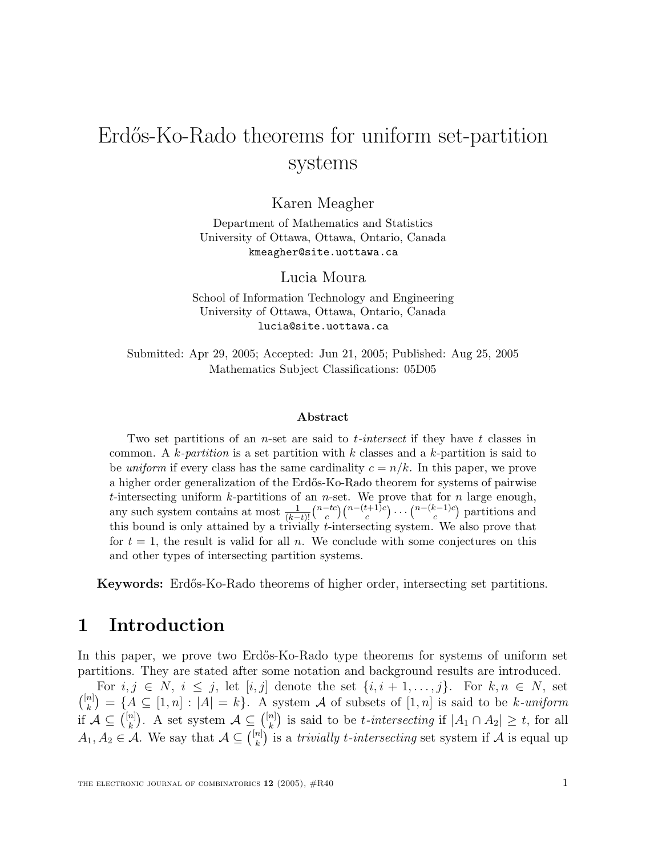# Erdős-Ko-Rado theorems for uniform set-partition systems

Karen Meagher

Department of Mathematics and Statistics University of Ottawa, Ottawa, Ontario, Canada kmeagher@site.uottawa.ca

Lucia Moura

School of Information Technology and Engineering University of Ottawa, Ottawa, Ontario, Canada

Submitted: Apr 29, 2005; Accepted: Jun 21, 2005; Published: Aug 25, 2005 Mathematics Subject Classifications: 05D05

#### **Abstract**

Two set partitions of an *n*-set are said to *t*-intersect if they have t classes in common. A k-partition is a set partition with k classes and a k-partition is said to be uniform if every class has the same cardinality  $c = n/k$ . In this paper, we prove a higher order generalization of the Erdős-Ko-Rado theorem for systems of pairwise t-intersecting uniform  $k$ -partitions of an *n*-set. We prove that for *n* large enough, any such system contains at most  $\frac{1}{(k-t)!} {n-tc \choose c} {n-(t+1)c \choose c} \cdots {n-(k-1)c \choose c}$  partitions and this bound is only attained by a trivially t-intersecting system. We also prove that for  $t = 1$ , the result is valid for all n. We conclude with some conjectures on this and other types of intersecting partition systems.

**Keywords:** Erd˝os-Ko-Rado theorems of higher order, intersecting set partitions.

## **1 Introduction**

In this paper, we prove two Erdős-Ko-Rado type theorems for systems of uniform set partitions. They are stated after some notation and background results are introduced.

For  $i, j \in N$ ,  $i \leq j$ , let  $[i, j]$  denote the set  $\{i, i+1, \ldots, j\}$ . For  $k, n \in N$ , set  $\binom{[n]}{k} = \{A \subseteq [1,n] : |A| = k\}.$  A system A of subsets of  $[1,n]$  is said to be k-uniform if  $\mathcal{A} \subseteq \binom{[n]}{k}$ . A set system  $\mathcal{A} \subseteq \binom{[n]}{k}$  is said to be *t*-intersecting if  $|A_1 \cap A_2| \ge t$ , for all  $A_1, A_2 \in \mathcal{A}$ . We say that  $\mathcal{A} \subseteq \binom{[n]}{k}$  is a *trivially t-intersecting* set system if  $\mathcal{A}$  is equal up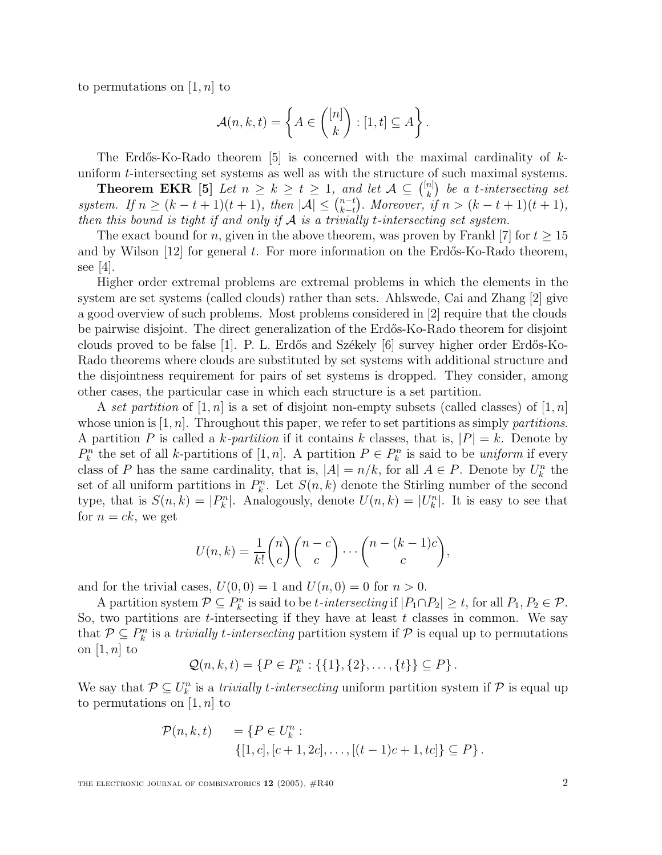to permutations on  $[1, n]$  to

$$
\mathcal{A}(n,k,t) = \left\{ A \in \binom{[n]}{k} : [1,t] \subseteq A \right\}.
$$

The Erdős-Ko-Rado theorem [5] is concerned with the maximal cardinality of  $k$ uniform t-intersecting set systems as well as with the structure of such maximal systems.

**Theorem EKR** [5] Let  $n \geq k \geq t \geq 1$ , and let  $\mathcal{A} \subseteq \binom{[n]}{k}$  be a t-intersecting set system. If  $n \ge (k-t+1)(t+1)$ , then  $|\mathcal{A}| \le {n-t \choose k-t}$ . Moreover, if  $n > (k-t+1)(t+1)$ , then this bound is tight if and only if  $\mathcal A$  is a trivially t-intersecting set system.

The exact bound for n, given in the above theorem, was proven by Frankl  $|7|$  for  $t \geq 15$ and by Wilson  $[12]$  for general t. For more information on the Erdős-Ko-Rado theorem, see  $|4|$ .

Higher order extremal problems are extremal problems in which the elements in the system are set systems (called clouds) rather than sets. Ahlswede, Cai and Zhang [2] give a good overview of such problems. Most problems considered in [2] require that the clouds be pairwise disjoint. The direct generalization of the Erd˝os-Ko-Rado theorem for disjoint clouds proved to be false [1]. P. L. Erdős and Székely  $[6]$  survey higher order Erdős-Ko-Rado theorems where clouds are substituted by set systems with additional structure and the disjointness requirement for pairs of set systems is dropped. They consider, among other cases, the particular case in which each structure is a set partition.

A set partition of  $[1, n]$  is a set of disjoint non-empty subsets (called classes) of  $[1, n]$ whose union is  $[1, n]$ . Throughout this paper, we refer to set partitions as simply partitions. A partition P is called a k-partition if it contains k classes, that is,  $|P| = k$ . Denote by  $P_k^n$  the set of all k-partitions of  $[1, n]$ . A partition  $P \in P_k^n$  is said to be uniform if every class of P has the same cardinality, that is,  $|A| = n/k$ , for all  $A \in P$ . Denote by  $U_k^n$  the set of all uniform partitions in  $P_k^n$ . Let  $S(n, k)$  denote the Stirling number of the second type, that is  $S(n,k) = |P_k^n|$ . Analogously, denote  $U(n,k) = |U_k^n|$ . It is easy to see that for  $n = ck$ , we get

$$
U(n,k) = \frac{1}{k!} {n \choose c} {n-c \choose c} \cdots {n-(k-1)c \choose c},
$$

and for the trivial cases,  $U(0, 0) = 1$  and  $U(n, 0) = 0$  for  $n > 0$ .

A partition system  $P \subseteq P_k^n$  is said to be t-intersecting if  $|P_1 \cap P_2| \ge t$ , for all  $P_1, P_2 \in \mathcal{P}$ . So, two partitions are *t*-intersecting if they have at least  $t$  classes in common. We say that  $\mathcal{P} \subseteq P_k^n$  is a *trivially t-intersecting* partition system if  $\mathcal{P}$  is equal up to permutations on  $[1, n]$  to

$$
Q(n,k,t) = \{ P \in P_k^n : \{ \{1\}, \{2\}, \ldots, \{t\} \} \subseteq P \}.
$$

We say that  $\mathcal{P} \subseteq U_k^n$  is a *trivially t-intersecting* uniform partition system if  $\mathcal{P}$  is equal up to permutations on  $[1, n]$  to

$$
\mathcal{P}(n,k,t) = \{ P \in U_k^n : \{ [1,c], [c+1,2c], \dots, [(t-1)c+1,tc] \} \subseteq P \}.
$$

THE ELECTRONIC JOURNAL OF COMBINATORICS  $12$  (2005),  $\#R40$  2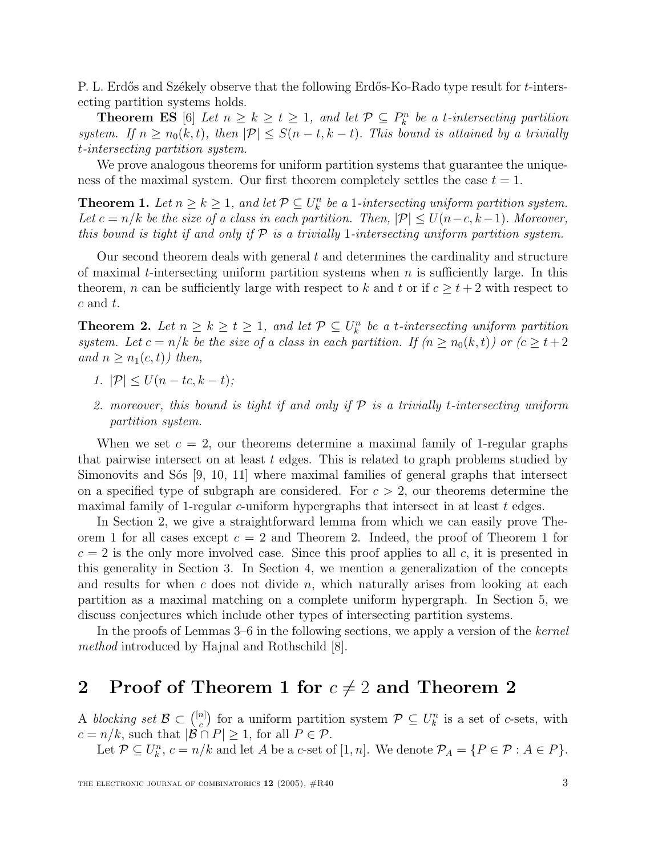P. L. Erdős and Székely observe that the following Erdős-Ko-Rado type result for t-intersecting partition systems holds.

**Theorem ES** [6] Let  $n \geq k \geq t \geq 1$ , and let  $\mathcal{P} \subseteq P_k^n$  be a t-intersecting partition system. If  $n \geq n_0(k, t)$ , then  $|\mathcal{P}| \leq S(n-t, k-t)$ . This bound is attained by a trivially t-intersecting partition system.

We prove analogous theorems for uniform partition systems that guarantee the uniqueness of the maximal system. Our first theorem completely settles the case  $t = 1$ .

**Theorem 1.** Let  $n \geq k \geq 1$ , and let  $\mathcal{P} \subseteq U_k^n$  be a 1-intersecting uniform partition system. Let  $c = n/k$  be the size of a class in each partition. Then,  $|\mathcal{P}| \leq U(n-c, k-1)$ . Moreover, this bound is tight if and only if  $P$  is a trivially 1-intersecting uniform partition system.

Our second theorem deals with general  $t$  and determines the cardinality and structure of maximal t-intersecting uniform partition systems when  $n$  is sufficiently large. In this theorem, *n* can be sufficiently large with respect to k and t or if  $c \geq t+2$  with respect to  $c$  and  $t$ .

**Theorem 2.** Let  $n \geq k \geq t \geq 1$ , and let  $\mathcal{P} \subseteq U_k^n$  be a t-intersecting uniform partition system. Let  $c = n/k$  be the size of a class in each partition. If  $(n \ge n_0(k, t))$  or  $(c \ge t+2)$ and  $n \geq n_1(c, t)$  then,

- 1.  $|\mathcal{P}| \le U(n tc, k t);$
- 2. moreover, this bound is tight if and only if  $P$  is a trivially t-intersecting uniform partition system.

When we set  $c = 2$ , our theorems determine a maximal family of 1-regular graphs that pairwise intersect on at least  $t$  edges. This is related to graph problems studied by Simonovits and S $\delta$ s [9, 10, 11] where maximal families of general graphs that intersect on a specified type of subgraph are considered. For  $c > 2$ , our theorems determine the maximal family of 1-regular c-uniform hypergraphs that intersect in at least  $t$  edges.

In Section 2, we give a straightforward lemma from which we can easily prove Theorem 1 for all cases except  $c = 2$  and Theorem 2. Indeed, the proof of Theorem 1 for  $c = 2$  is the only more involved case. Since this proof applies to all c, it is presented in this generality in Section 3. In Section 4, we mention a generalization of the concepts and results for when c does not divide  $n$ , which naturally arises from looking at each partition as a maximal matching on a complete uniform hypergraph. In Section 5, we discuss conjectures which include other types of intersecting partition systems.

In the proofs of Lemmas 3–6 in the following sections, we apply a version of the kernel method introduced by Hajnal and Rothschild [8].

#### **2** Proof of Theorem 1 for  $c \neq 2$  and Theorem 2

A blocking set  $\mathcal{B} \subset \binom{[n]}{c}$  for a uniform partition system  $\mathcal{P} \subseteq U^n_k$  is a set of c-sets, with  $c = n/k$ , such that  $|\mathcal{B} \cap P| \geq 1$ , for all  $P \in \mathcal{P}$ .

Let  $P \subseteq U_k^n$ ,  $c = n/k$  and let A be a c-set of  $[1, n]$ . We denote  $P_A = \{P \in \mathcal{P} : A \in P\}$ .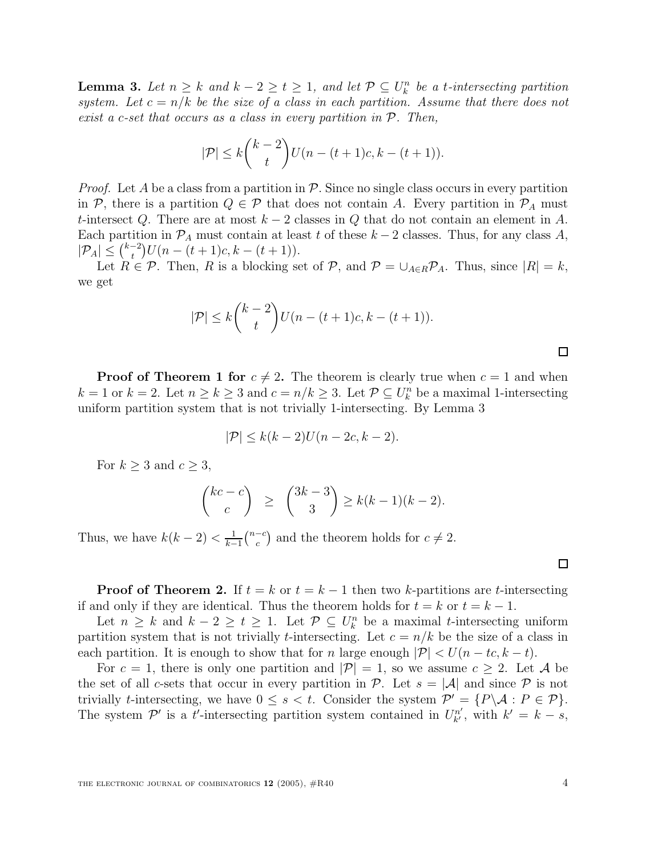**Lemma 3.** Let  $n \geq k$  and  $k - 2 \geq t \geq 1$ , and let  $\mathcal{P} \subseteq U_k^n$  be a t-intersecting partition system. Let  $c = n/k$  be the size of a class in each partition. Assume that there does not exist a c-set that occurs as a class in every partition in  $P$ . Then,

$$
|\mathcal{P}| \le k {k-2 \choose t} U(n-(t+1)c, k-(t+1)).
$$

*Proof.* Let A be a class from a partition in  $\mathcal{P}$ . Since no single class occurs in every partition in P, there is a partition  $Q \in \mathcal{P}$  that does not contain A. Every partition in  $\mathcal{P}_A$  must t-intersect Q. There are at most  $k-2$  classes in Q that do not contain an element in A. Each partition in  $\mathcal{P}_A$  must contain at least t of these  $k-2$  classes. Thus, for any class A,  $|\mathcal{P}_A| \leq {k-2 \choose t} U(n-(t+1)c, k-(t+1)).$ 

Let  $R \in \mathcal{P}$ . Then, R is a blocking set of  $\mathcal{P}$ , and  $\mathcal{P} = \bigcup_{A \in R} \mathcal{P}_A$ . Thus, since  $|R| = k$ , we get

$$
|\mathcal{P}| \le k {k-2 \choose t} U(n-(t+1)c, k-(t+1)).
$$

**Proof of Theorem 1 for**  $c \neq 2$ . The theorem is clearly true when  $c = 1$  and when  $k = 1$  or  $k = 2$ . Let  $n \ge k \ge 3$  and  $c = n/k \ge 3$ . Let  $\mathcal{P} \subseteq U_k^n$  be a maximal 1-intersecting uniform partition system that is not trivially 1-intersecting. By Lemma 3

$$
|\mathcal{P}| \le k(k-2)U(n-2c,k-2).
$$

For  $k \geq 3$  and  $c \geq 3$ ,

$$
\binom{kc-c}{c} \ge \binom{3k-3}{3} \ge k(k-1)(k-2).
$$

Thus, we have  $k(k-2) < \frac{1}{k-1} {n-c \choose c}$  and the theorem holds for  $c \neq 2$ .

 $\Box$ 

 $\Box$ 

**Proof of Theorem 2.** If  $t = k$  or  $t = k - 1$  then two k-partitions are t-intersecting if and only if they are identical. Thus the theorem holds for  $t = k$  or  $t = k - 1$ .

Let  $n \geq k$  and  $k - 2 \geq t \geq 1$ . Let  $\mathcal{P} \subseteq U_k^n$  be a maximal t-intersecting uniform partition system that is not trivially *t*-intersecting. Let  $c = n/k$  be the size of a class in each partition. It is enough to show that for n large enough  $|\mathcal{P}| < U(n - tc, k - t)$ .

For  $c = 1$ , there is only one partition and  $|\mathcal{P}| = 1$ , so we assume  $c \geq 2$ . Let A be the set of all c-sets that occur in every partition in P. Let  $s = |\mathcal{A}|$  and since P is not trivially t-intersecting, we have  $0 \leq s < t$ . Consider the system  $\mathcal{P}' = \{P \setminus \mathcal{A} : P \in \mathcal{P}\}.$ The system  $\mathcal{P}'$  is a t'-intersecting partition system contained in  $U_{k'}^{n'}$ , with  $k'=k-s$ ,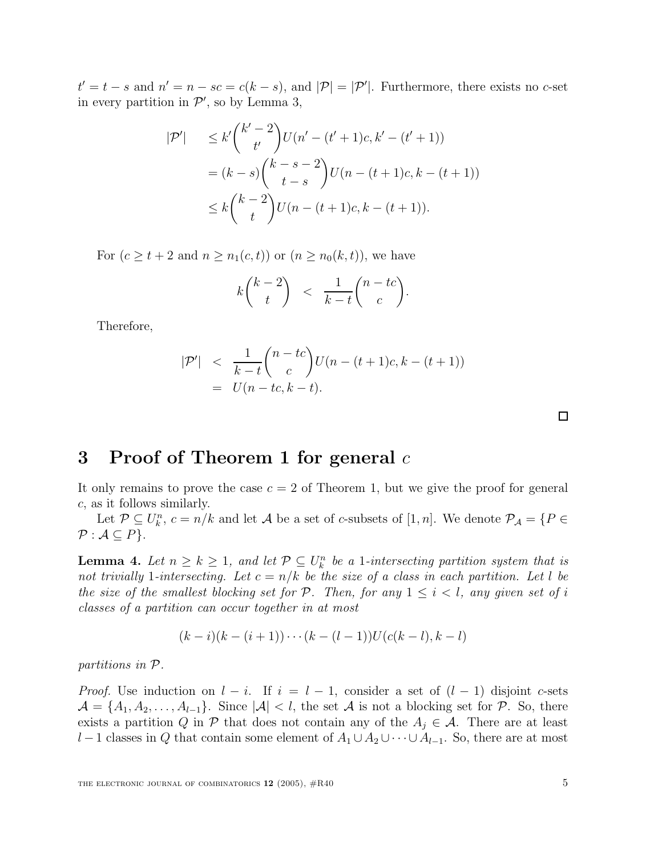$t' = t - s$  and  $n' = n - sc = c(k - s)$ , and  $|\mathcal{P}| = |\mathcal{P}'|$ . Furthermore, there exists no c-set in every partition in  $\mathcal{P}'$ , so by Lemma 3,

$$
|\mathcal{P}'| \leq k' \binom{k'-2}{t'} U(n' - (t'+1)c, k' - (t'+1))
$$
  
=  $(k-s) \binom{k-s-2}{t-s} U(n - (t+1)c, k - (t+1))$   
 $\leq k \binom{k-2}{t} U(n - (t+1)c, k - (t+1)).$ 

For  $(c \geq t + 2$  and  $n \geq n_1(c, t)$  or  $(n \geq n_0(k, t))$ , we have

$$
k\binom{k-2}{t} < \frac{1}{k-t}\binom{n-tc}{c}.
$$

Therefore,

$$
|\mathcal{P}'| < \frac{1}{k-t} {n-tc \choose c} U(n-(t+1)c, k-(t+1))
$$
  
=  $U(n-tc, k-t).$ 

#### **3 Proof of Theorem 1 for general** c

It only remains to prove the case  $c = 2$  of Theorem 1, but we give the proof for general c, as it follows similarly.

Let  $\mathcal{P} \subseteq U_k^n$ ,  $c = n/k$  and let A be a set of c-subsets of [1, n]. We denote  $\mathcal{P}_{\mathcal{A}} = \{P \in$  $P : A \subseteq P$ .

**Lemma 4.** Let  $n \geq k \geq 1$ , and let  $\mathcal{P} \subseteq U_k^n$  be a 1-intersecting partition system that is not trivially 1-intersecting. Let  $c = n/k$  be the size of a class in each partition. Let l be the size of the smallest blocking set for  $P$ . Then, for any  $1 \leq i \leq l$ , any given set of i classes of a partition can occur together in at most

$$
(k-i)(k-(i+1))\cdots(k-(l-1))U(c(k-l),k-l)
$$

partitions in P.

*Proof.* Use induction on  $l - i$ . If  $i = l - 1$ , consider a set of  $(l - 1)$  disjoint c-sets  $\mathcal{A} = \{A_1, A_2, \ldots, A_{l-1}\}.$  Since  $|\mathcal{A}| < l$ , the set A is not a blocking set for P. So, there exists a partition Q in P that does not contain any of the  $A_j \in \mathcal{A}$ . There are at least l −1 classes in Q that contain some element of  $A_1 \cup A_2 \cup \cdots \cup A_{l-1}$ . So, there are at most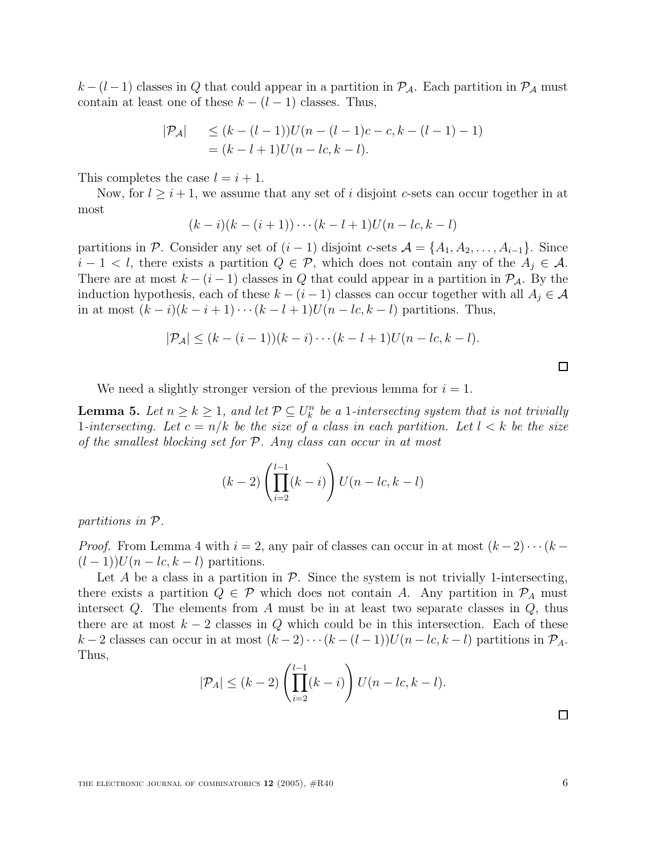$k-(l-1)$  classes in Q that could appear in a partition in  $\mathcal{P}_{\mathcal{A}}$ . Each partition in  $\mathcal{P}_{\mathcal{A}}$  must contain at least one of these  $k - (l - 1)$  classes. Thus,

$$
|\mathcal{P}_{\mathcal{A}}| \le (k - (l - 1))U(n - (l - 1)c - c, k - (l - 1) - 1)
$$
  
=  $(k - l + 1)U(n - lc, k - l).$ 

This completes the case  $l = i + 1$ .

Now, for  $l \geq i+1$ , we assume that any set of i disjoint c-sets can occur together in at most

$$
(k-i)(k-(i+1))\cdots(k-l+1)U(n-lc,k-l)
$$

partitions in P. Consider any set of  $(i-1)$  disjoint c-sets  $\mathcal{A} = \{A_1, A_2, \ldots, A_{i-1}\}.$  Since  $i-1 < l$ , there exists a partition  $Q \in \mathcal{P}$ , which does not contain any of the  $A_i \in \mathcal{A}$ . There are at most  $k - (i - 1)$  classes in Q that could appear in a partition in  $\mathcal{P}_{\mathcal{A}}$ . By the induction hypothesis, each of these  $k - (i - 1)$  classes can occur together with all  $A_j \in \mathcal{A}$ in at most  $(k-i)(k-i+1)\cdots(k-l+1)U(n-lc, k-l)$  partitions. Thus,

$$
|\mathcal{P}_{\mathcal{A}}| \leq (k - (i-1))(k - i) \cdots (k - l + 1)U(n - lc, k - l).
$$

 $\Box$ 

We need a slightly stronger version of the previous lemma for  $i = 1$ .

**Lemma 5.** Let  $n \geq k \geq 1$ , and let  $\mathcal{P} \subseteq U_k^n$  be a 1-intersecting system that is not trivially 1-intersecting. Let  $c = n/k$  be the size of a class in each partition. Let  $l < k$  be the size of the smallest blocking set for  $P$ . Any class can occur in at most

$$
(k-2)\left(\prod_{i=2}^{l-1}(k-i)\right)U(n-lc,k-l)
$$

partitions in P.

*Proof.* From Lemma 4 with  $i = 2$ , any pair of classes can occur in at most  $(k-2)\cdots(k-1)$  $(l-1)$ ) $U(n-lc, k-l)$  partitions.

Let A be a class in a partition in  $P$ . Since the system is not trivially 1-intersecting, there exists a partition  $Q \in \mathcal{P}$  which does not contain A. Any partition in  $\mathcal{P}_A$  must intersect  $Q$ . The elements from  $A$  must be in at least two separate classes in  $Q$ , thus there are at most  $k-2$  classes in Q which could be in this intersection. Each of these k − 2 classes can occur in at most  $(k-2)\cdots(k-(l-1))U(n-lc, k-l)$  partitions in  $\mathcal{P}_A$ . Thus,

$$
|\mathcal{P}_A| \le (k-2) \left( \prod_{i=2}^{l-1} (k-i) \right) U(n-lc, k-l).
$$

 $\Box$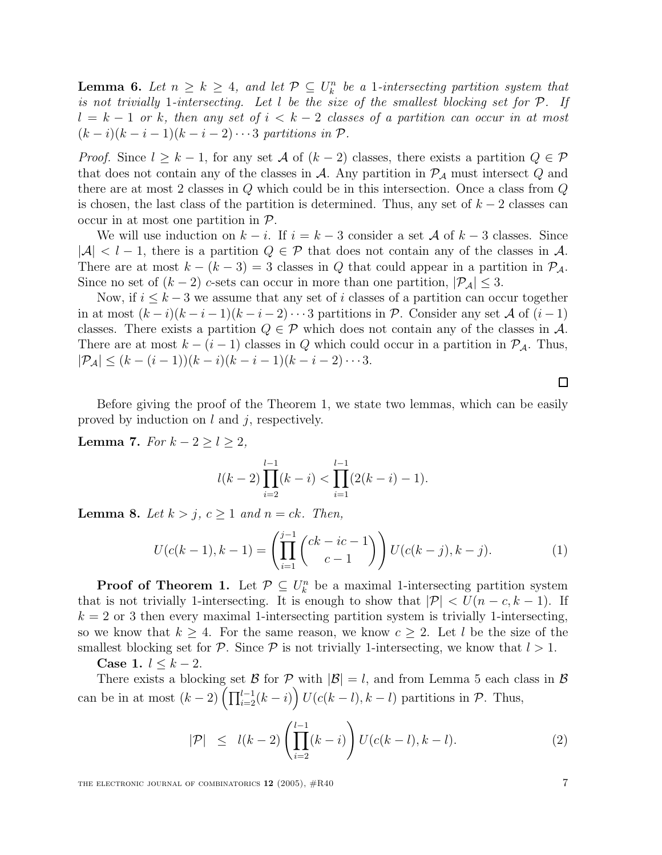**Lemma 6.** Let  $n \geq k \geq 4$ , and let  $\mathcal{P} \subseteq U_k^n$  be a 1-intersecting partition system that is not trivially 1-intersecting. Let  $l$  be the size of the smallest blocking set for  $P$ . If  $l = k - 1$  or k, then any set of  $i < k - 2$  classes of a partition can occur in at most  $(k-i)(k-i-1)(k-i-2)\cdots 3$  partitions in  $\mathcal{P}$ .

*Proof.* Since  $l \geq k-1$ , for any set A of  $(k-2)$  classes, there exists a partition  $Q \in \mathcal{P}$ that does not contain any of the classes in A. Any partition in  $\mathcal{P}_{\mathcal{A}}$  must intersect Q and there are at most 2 classes in  $Q$  which could be in this intersection. Once a class from  $Q$ is chosen, the last class of the partition is determined. Thus, any set of  $k-2$  classes can occur in at most one partition in  $P$ .

We will use induction on  $k - i$ . If  $i = k - 3$  consider a set A of  $k - 3$  classes. Since  $|\mathcal{A}| < l-1$ , there is a partition  $Q \in \mathcal{P}$  that does not contain any of the classes in  $\mathcal{A}$ . There are at most  $k - (k - 3) = 3$  classes in Q that could appear in a partition in  $\mathcal{P}_{\mathcal{A}}$ . Since no set of  $(k-2)$  c-sets can occur in more than one partition,  $|\mathcal{P}_A| \leq 3$ .

Now, if  $i \leq k-3$  we assume that any set of i classes of a partition can occur together in at most  $(k-i)(k-i-1)(k-i-2)\cdots 3$  partitions in P. Consider any set A of  $(i-1)$ classes. There exists a partition  $Q \in \mathcal{P}$  which does not contain any of the classes in A. There are at most  $k - (i - 1)$  classes in Q which could occur in a partition in  $\mathcal{P}_{\mathcal{A}}$ . Thus,  $|\mathcal{P}_{\mathcal{A}}| \leq (k - (i-1))(k - i)(k - i - 1)(k - i - 2) \cdots 3.$ 

Before giving the proof of the Theorem 1, we state two lemmas, which can be easily proved by induction on  $l$  and  $j$ , respectively.

**Lemma 7.** For  $k - 2 \geq l \geq 2$ ,

$$
l(k-2)\prod_{i=2}^{l-1}(k-i)<\prod_{i=1}^{l-1}(2(k-i)-1).
$$

**Lemma 8.** Let  $k > j$ ,  $c \geq 1$  and  $n = ck$ . Then,

$$
U(c(k-1),k-1) = \left(\prod_{i=1}^{j-1} {ck - ic - 1 \choose c-1} \right) U(c(k-j),k-j).
$$
 (1)

**Proof of Theorem 1.** Let  $\mathcal{P} \subseteq U_k^n$  be a maximal 1-intersecting partition system that is not trivially 1-intersecting. It is enough to show that  $|\mathcal{P}| < U(n-c, k-1)$ . If  $k = 2$  or 3 then every maximal 1-intersecting partition system is trivially 1-intersecting, so we know that  $k \geq 4$ . For the same reason, we know  $c \geq 2$ . Let l be the size of the smallest blocking set for P. Since P is not trivially 1-intersecting, we know that  $l > 1$ .

**Case 1.**  $l \leq k - 2$ .

There exists a blocking set  $\mathcal{B}$  for  $\mathcal{P}$  with  $|\mathcal{B}| = l$ , and from Lemma 5 each class in  $\mathcal{B}$ can be in at most  $(k-2)\left(\prod_{i=2}^{l-1}(k-i)\right)U(c(k-l),k-l)$  partitions in  $\mathcal{P}$ . Thus,

$$
|\mathcal{P}| \leq l(k-2) \left( \prod_{i=2}^{l-1} (k-i) \right) U(c(k-l), k-l).
$$
 (2)

THE ELECTRONIC JOURNAL OF COMBINATORICS  $12$  (2005),  $\#R40$  7

 $\Box$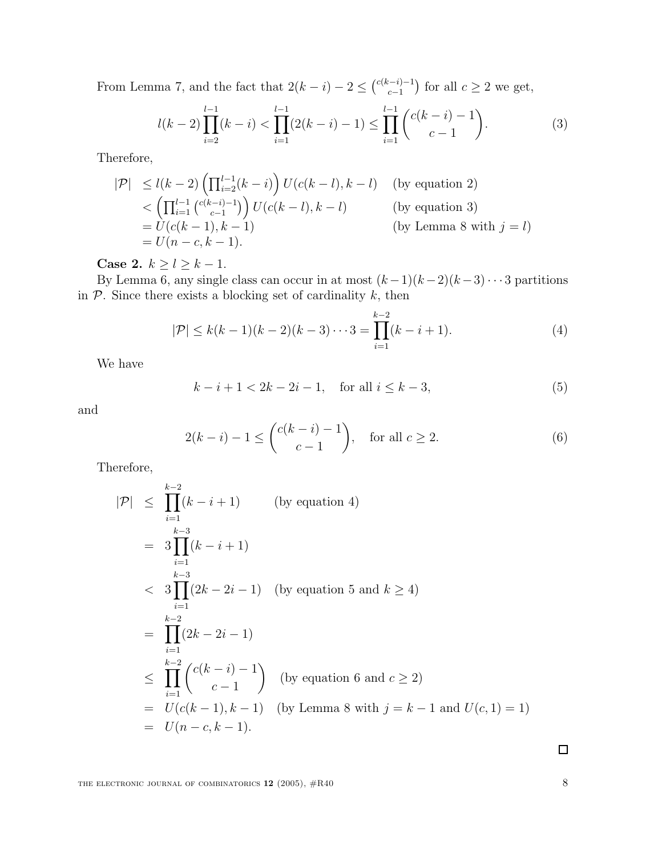From Lemma 7, and the fact that  $2(k-i) - 2 \leq {\binom{c(k-i)-1}{c-1}}$  for all  $c \geq 2$  we get,

$$
l(k-2)\prod_{i=2}^{l-1}(k-i) < \prod_{i=1}^{l-1}(2(k-i)-1) \le \prod_{i=1}^{l-1}\binom{c(k-i)-1}{c-1}.\tag{3}
$$

Therefore,

$$
|\mathcal{P}| \le l(k-2) \left(\prod_{i=2}^{l-1} (k-i)\right) U(c(k-l), k-l) \quad \text{(by equation 2)}
$$
  

$$
< \left(\prod_{i=1}^{l-1} {\binom{c(k-i)-1}{c-1}}\right) U(c(k-l), k-l) \quad \text{(by equation 3)}
$$
  

$$
= U(c(k-1), k-1) \quad \text{(by Lemma 8 with } j=l)
$$
  

$$
= U(n-c, k-1).
$$

**Case 2.**  $k \ge l \ge k - 1$ .

By Lemma 6, any single class can occur in at most  $(k-1)(k-2)(k-3)\cdots 3$  partitions in  $P$ . Since there exists a blocking set of cardinality  $k$ , then

$$
|\mathcal{P}| \le k(k-1)(k-2)(k-3)\cdots 3 = \prod_{i=1}^{k-2} (k-i+1).
$$
 (4)

We have

$$
k - i + 1 < 2k - 2i - 1, \quad \text{for all } i \le k - 3,\tag{5}
$$

and

$$
2(k-i) - 1 \le \binom{c(k-i) - 1}{c - 1}, \quad \text{for all } c \ge 2.
$$
 (6)

Therefore,

$$
|\mathcal{P}| \leq \prod_{i=1}^{k-2} (k - i + 1) \qquad \text{(by equation 4)}
$$
  
=  $3 \prod_{i=1}^{k-3} (k - i + 1)$   
 $\leq 3 \prod_{i=1}^{k-3} (2k - 2i - 1) \qquad \text{(by equation 5 and } k \geq 4)$   
=  $\prod_{i=1}^{k-2} (2k - 2i - 1)$   
 $\leq \prod_{i=1}^{k-2} \binom{c(k-i) - 1}{c - 1} \qquad \text{(by equation 6 and } c \geq 2)$   
=  $U(c(k-1), k-1) \qquad \text{(by Lemma 8 with } j = k-1 \text{ and } U(c, 1) = 1)$   
=  $U(n-c, k-1).$ 

 $\Box$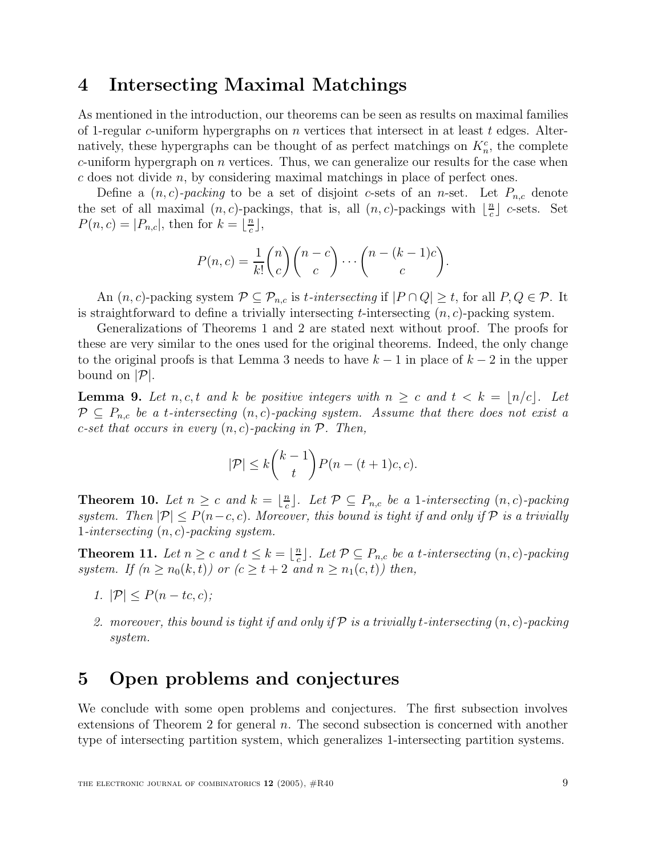#### **4 Intersecting Maximal Matchings**

As mentioned in the introduction, our theorems can be seen as results on maximal families of 1-regular c-uniform hypergraphs on  $n$  vertices that intersect in at least  $t$  edges. Alternatively, these hypergraphs can be thought of as perfect matchings on  $K_n^c$ , the complete  $c$ -uniform hypergraph on  $n$  vertices. Thus, we can generalize our results for the case when  $c$  does not divide  $n$ , by considering maximal matchings in place of perfect ones.

Define a  $(n, c)$ -packing to be a set of disjoint c-sets of an n-set. Let  $P_{n,c}$  denote the set of all maximal  $(n, c)$ -packings, that is, all  $(n, c)$ -packings with  $\lfloor \frac{n}{c} \rfloor$  c-sets. Set  $P(n, c) = |P_{n,c}|$ , then for  $k = \lfloor \frac{n}{c} \rfloor$ ,

$$
P(n,c) = \frac{1}{k!} \binom{n}{c} \binom{n-c}{c} \cdots \binom{n-(k-1)c}{c}.
$$

An  $(n, c)$ -packing system  $\mathcal{P} \subseteq \mathcal{P}_{n,c}$  is t-intersecting if  $|P \cap Q| \geq t$ , for all  $P, Q \in \mathcal{P}$ . It is straightforward to define a trivially intersecting  $t$ -intersecting  $(n, c)$ -packing system.

Generalizations of Theorems 1 and 2 are stated next without proof. The proofs for these are very similar to the ones used for the original theorems. Indeed, the only change to the original proofs is that Lemma 3 needs to have  $k-1$  in place of  $k-2$  in the upper bound on  $|\mathcal{P}|$ .

**Lemma 9.** Let n, c, t and k be positive integers with  $n \geq c$  and  $t < k = \lfloor n/c \rfloor$ . Let  $P \subseteq P_{n,c}$  be a t-intersecting  $(n, c)$ -packing system. Assume that there does not exist a c-set that occurs in every  $(n, c)$ -packing in  $P$ . Then,

$$
|\mathcal{P}| \le k {k-1 \choose t} P(n-(t+1)c, c).
$$

**Theorem 10.** Let  $n \geq c$  and  $k = \lfloor \frac{n}{c} \rfloor$ . Let  $\mathcal{P} \subseteq P_{n,c}$  be a 1-intersecting  $(n, c)$ -packing system. Then  $|\mathcal{P}| \leq P(n-c, c)$ . Moreover, this bound is tight if and only if  $\mathcal{P}$  is a trivially 1-intersecting  $(n, c)$ -packing system.

**Theorem 11.** Let  $n \geq c$  and  $t \leq k = \lfloor \frac{n}{c} \rfloor$ . Let  $\mathcal{P} \subseteq P_{n,c}$  be a t-intersecting  $(n, c)$ -packing system. If  $(n \ge n_0(k, t))$  or  $(c \ge t + 2$  and  $n \ge n_1(c, t))$  then,

- 1.  $|\mathcal{P}| < P(n tc, c);$
- 2. moreover, this bound is tight if and only if  $\mathcal P$  is a trivially t-intersecting  $(n, c)$ -packing system.

### **5 Open problems and conjectures**

We conclude with some open problems and conjectures. The first subsection involves extensions of Theorem 2 for general  $n$ . The second subsection is concerned with another type of intersecting partition system, which generalizes 1-intersecting partition systems.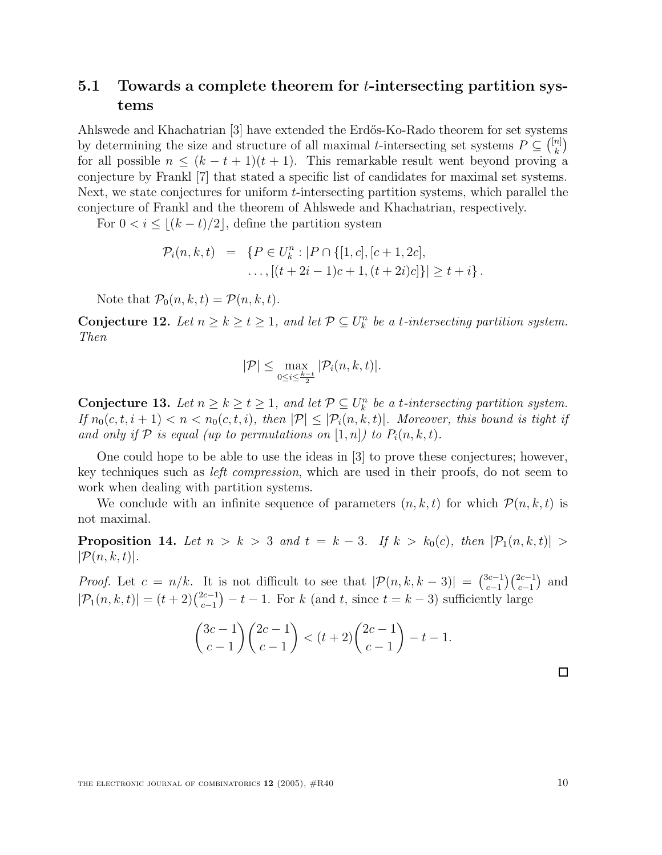#### **5.1 Towards a complete theorem for** t**-intersecting partition systems**

Ahlswede and Khachatrian [3] have extended the Erd˝os-Ko-Rado theorem for set systems by determining the size and structure of all maximal t-intersecting set systems  $P \subseteq \binom{[n]}{k}$ for all possible  $n \leq (k - t + 1)(t + 1)$ . This remarkable result went beyond proving a conjecture by Frankl [7] that stated a specific list of candidates for maximal set systems. Next, we state conjectures for uniform t-intersecting partition systems, which parallel the conjecture of Frankl and the theorem of Ahlswede and Khachatrian, respectively.

For  $0 < i \leq (k - t)/2$ , define the partition system

$$
\mathcal{P}_i(n,k,t) = \{ P \in U_k^n : |P \cap \{ [1,c], [c+1,2c], \\ \dots, [(t+2i-1)c+1,(t+2i)c] \} | \ge t+i \}.
$$

Note that  $\mathcal{P}_0(n, k, t) = \mathcal{P}(n, k, t)$ .

**Conjecture 12.** Let  $n \geq k \geq t \geq 1$ , and let  $\mathcal{P} \subseteq U_k^n$  be a t-intersecting partition system. Then

$$
|\mathcal{P}| \leq \max_{0 \leq i \leq \frac{k-t}{2}} |\mathcal{P}_i(n, k, t)|.
$$

**Conjecture 13.** Let  $n \geq k \geq t \geq 1$ , and let  $\mathcal{P} \subseteq U_k^n$  be a t-intersecting partition system. If  $n_0(c, t, i + 1) < n < n_0(c, t, i)$ , then  $|\mathcal{P}| \leq |\mathcal{P}_i(n, k, t)|$ . Moreover, this bound is tight if and only if P is equal (up to permutations on  $[1, n]$ ) to  $P_i(n, k, t)$ .

One could hope to be able to use the ideas in [3] to prove these conjectures; however, key techniques such as left compression, which are used in their proofs, do not seem to work when dealing with partition systems.

We conclude with an infinite sequence of parameters  $(n, k, t)$  for which  $\mathcal{P}(n, k, t)$  is not maximal.

**Proposition 14.** Let  $n > k > 3$  and  $t = k - 3$ . If  $k > k_0(c)$ , then  $|\mathcal{P}_1(n, k, t)| >$  $|\mathcal{P}(n, k, t)|$ .

*Proof.* Let  $c = n/k$ . It is not difficult to see that  $|\mathcal{P}(n, k, k-3)| = \binom{3c-1}{c-1} \binom{2c-1}{c-1}$  and  $|\mathcal{P}_1(n, k, t)| = (t + 2)\binom{2c-1}{c-1} - t - 1$ . For k (and t, since  $t = k - 3$ ) sufficiently large

$$
\binom{3c-1}{c-1}\binom{2c-1}{c-1} < (t+2)\binom{2c-1}{c-1} - t - 1.
$$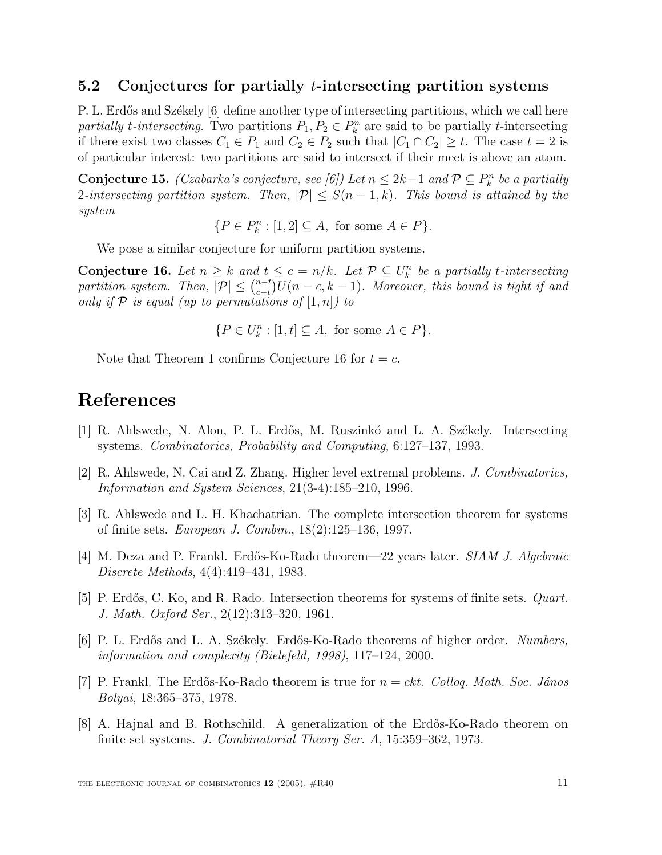#### **5.2 Conjectures for partially** t**-intersecting partition systems**

P. L. Erdős and Székely [6] define another type of intersecting partitions, which we call here partially t-intersecting. Two partitions  $P_1, P_2 \in P_k^n$  are said to be partially t-intersecting if there exist two classes  $C_1 \in P_1$  and  $C_2 \in P_2$  such that  $|C_1 \cap C_2| \geq t$ . The case  $t = 2$  is of particular interest: two partitions are said to intersect if their meet is above an atom.

**Conjecture 15.** (Czabarka's conjecture, see [6]) Let  $n \leq 2k-1$  and  $\mathcal{P} \subseteq P_k^n$  be a partially 2-intersecting partition system. Then,  $|\mathcal{P}| \leq S(n-1,k)$ . This bound is attained by the system

 ${P \in P_k^n : [1,2] \subseteq A$ , for some  $A \in P}$ .

We pose a similar conjecture for uniform partition systems.

**Conjecture 16.** Let  $n \geq k$  and  $t \leq c = n/k$ . Let  $\mathcal{P} \subseteq U_k^n$  be a partially t-intersecting partition system. Then,  $|\mathcal{P}| \leq {n-t \choose c-t} U(n-c, k-1)$ . Moreover, this bound is tight if and only if  $P$  is equal (up to permutations of  $[1,n]$ ) to

 ${P \in U_k^n : [1, t] \subseteq A$ , for some  $A \in P}$ .

Note that Theorem 1 confirms Conjecture 16 for  $t = c$ .

### **References**

- [1] R. Ahlswede, N. Alon, P. L. Erdős, M. Ruszinkó and L. A. Székely. Intersecting systems. Combinatorics, Probability and Computing, 6:127–137, 1993.
- [2] R. Ahlswede, N. Cai and Z. Zhang. Higher level extremal problems. J. Combinatorics, Information and System Sciences, 21(3-4):185–210, 1996.
- [3] R. Ahlswede and L. H. Khachatrian. The complete intersection theorem for systems of finite sets. European J. Combin., 18(2):125–136, 1997.
- [4] M. Deza and P. Frankl. Erdős-Ko-Rado theorem—22 years later. *SIAM J. Algebraic* Discrete Methods, 4(4):419–431, 1983.
- [5] P. Erdős, C. Ko, and R. Rado. Intersection theorems for systems of finite sets. *Quart.* J. Math. Oxford Ser., 2(12):313–320, 1961.
- [6] P. L. Erdős and L. A. Székely. Erdős-Ko-Rado theorems of higher order. Numbers, information and complexity (Bielefeld, 1998), 117–124, 2000.
- [7] P. Frankl. The Erdős-Ko-Rado theorem is true for  $n = ckt$ . Colloq. Math. Soc. János Bolyai, 18:365–375, 1978.
- [8] A. Hajnal and B. Rothschild. A generalization of the Erdős-Ko-Rado theorem on finite set systems. J. Combinatorial Theory Ser. A, 15:359–362, 1973.